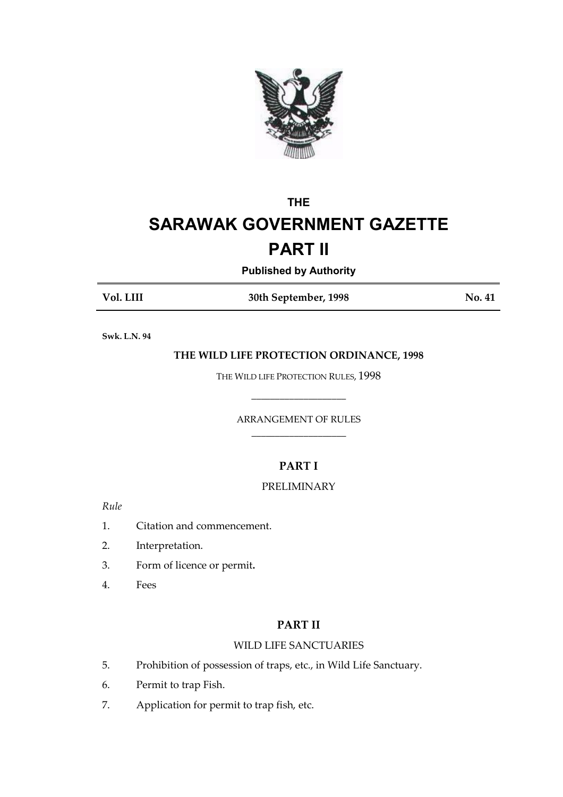

# **THE SARAWAK GOVERNMENT GAZETTE**

## **PART II**

## **Published by Authority**

Vol. LIII

30th September, 1998

No. 41

Swk. L.N. 94

## THE WILD LIFE PROTECTION ORDINANCE, 1998

THE WILD LIFE PROTECTION RULES, 1998

## ARRANGEMENT OF RULES

## **PART I**

## **PRELIMINARY**

 $Rule$ 

- $1.$ Citation and commencement.
- $2.$ Interpretation.
- $3.$ Form of licence or permit.
- $\overline{4}$ . Fees

## **PART II**

## **WILD LIFE SANCTUARIES**

- 5. Prohibition of possession of traps, etc., in Wild Life Sanctuary.
- 6. Permit to trap Fish.
- 7. Application for permit to trap fish, etc.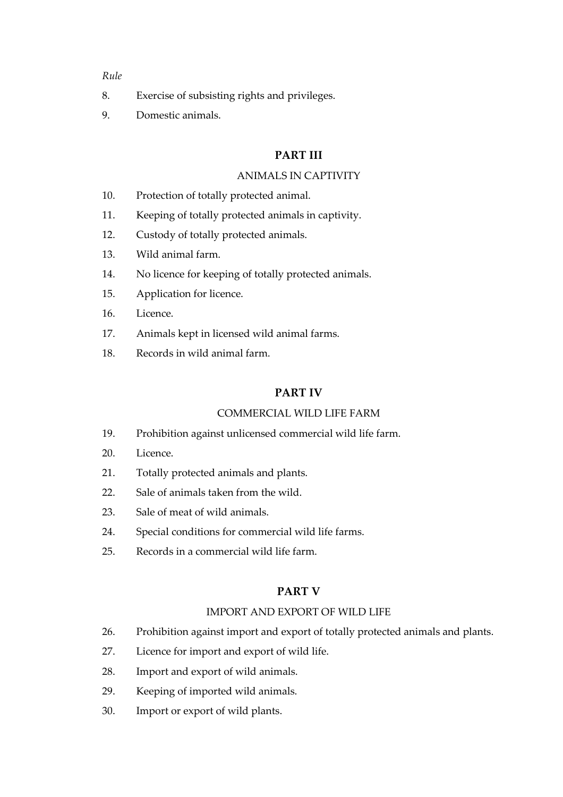## Rule

- 8. Exercise of subsisting rights and privileges.
- 9. Domestic animals.

## **PART III**

## ANIMALS IN CAPTIVITY

- $10.$ Protection of totally protected animal.
- $11.$ Keeping of totally protected animals in captivity.
- $12.$ Custody of totally protected animals.
- $13.$ Wild animal farm.
- $14.$ No licence for keeping of totally protected animals.
- 15. Application for licence.
- 16. Licence.
- 17. Animals kept in licensed wild animal farms.
- 18. Records in wild animal farm.

## **PARTIV**

## COMMERCIAL WILD LIFE FARM

- 19. Prohibition against unlicensed commercial wild life farm.
- $20<sup>1</sup>$ Licence.
- $21.$ Totally protected animals and plants.
- $22.$ Sale of animals taken from the wild.
- 23. Sale of meat of wild animals.
- $24.$ Special conditions for commercial wild life farms.
- $25.$ Records in a commercial wild life farm.

## **PART V**

#### **IMPORT AND EXPORT OF WILD LIFE**

- 26. Prohibition against import and export of totally protected animals and plants.
- 27. Licence for import and export of wild life.
- 28. Import and export of wild animals.
- 29. Keeping of imported wild animals.
- $30<sub>l</sub>$ Import or export of wild plants.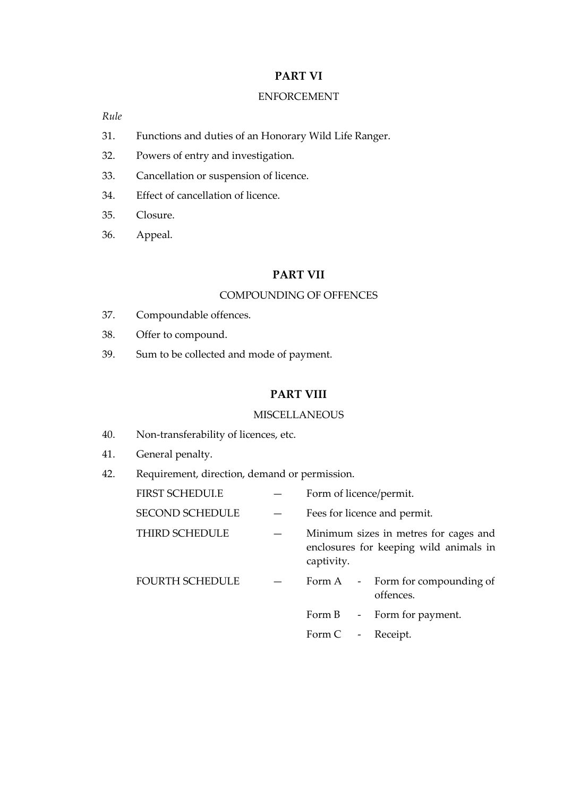## **PART VI**

## **ENFORCEMENT**

Rule

- 31. Functions and duties of an Honorary Wild Life Ranger.
- 32. Powers of entry and investigation.
- 33. Cancellation or suspension of licence.
- 34. Effect of cancellation of licence.
- $35.$ Closure.
- 36. Appeal.

## **PART VII**

## **COMPOUNDING OF OFFENCES**

- 37. Compoundable offences.
- 38. Offer to compound.
- Sum to be collected and mode of payment. 39.

## **PART VIII**

## **MISCELLANEOUS**

- 40. Non-transferability of licences, etc.
- 41. General penalty.
- Requirement, direction, demand or permission. 42.

| <b>FIRST SCHEDUI.E</b> | Form of licence/permit.                                                                       |
|------------------------|-----------------------------------------------------------------------------------------------|
| <b>SECOND SCHEDULE</b> | Fees for licence and permit.                                                                  |
| THIRD SCHEDULE         | Minimum sizes in metres for cages and<br>enclosures for keeping wild animals in<br>captivity. |
| <b>FOURTH SCHEDULE</b> | Form A - Form for compounding of<br>offences.                                                 |
|                        | Form B - Form for payment.                                                                    |
|                        | Form C - Receipt.                                                                             |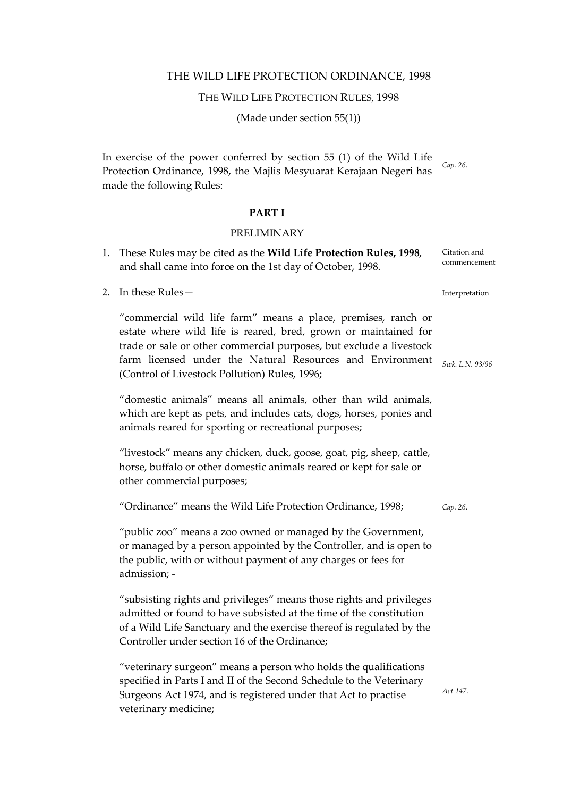#### THE WILD LIFE PROTECTION ORDINANCE, 1998

#### THE WILD LIFE PROTECTION RULES, 1998

(Made under section  $55(1)$ )

In exercise of the power conferred by section 55 (1) of the Wild Life Protection Ordinance, 1998, the Majlis Mesyuarat Kerajaan Negeri has made the following Rules:

#### **PARTI**

#### **PRELIMINARY**

- 1. These Rules may be cited as the Wild Life Protection Rules, 1998, Citation and commencement and shall came into force on the 1st day of October, 1998.
- 2. In these Rules-

"commercial wild life farm" means a place, premises, ranch or estate where wild life is reared, bred, grown or maintained for trade or sale or other commercial purposes, but exclude a livestock farm licensed under the Natural Resources and Environment (Control of Livestock Pollution) Rules, 1996;

"domestic animals" means all animals, other than wild animals, which are kept as pets, and includes cats, dogs, horses, ponies and animals reared for sporting or recreational purposes;

"livestock" means any chicken, duck, goose, goat, pig, sheep, cattle, horse, buffalo or other domestic animals reared or kept for sale or other commercial purposes;

"Ordinance" means the Wild Life Protection Ordinance, 1998; Cap. 26.

"public zoo" means a zoo owned or managed by the Government, or managed by a person appointed by the Controller, and is open to the public, with or without payment of any charges or fees for admission: -

"subsisting rights and privileges" means those rights and privileges admitted or found to have subsisted at the time of the constitution of a Wild Life Sanctuary and the exercise thereof is regulated by the Controller under section 16 of the Ordinance;

"veterinary surgeon" means a person who holds the qualifications specified in Parts I and II of the Second Schedule to the Veterinary Surgeons Act 1974, and is registered under that Act to practise veterinary medicine;

Act 147.

Interpretation

Swk. L.N. 93/96

Cap. 26.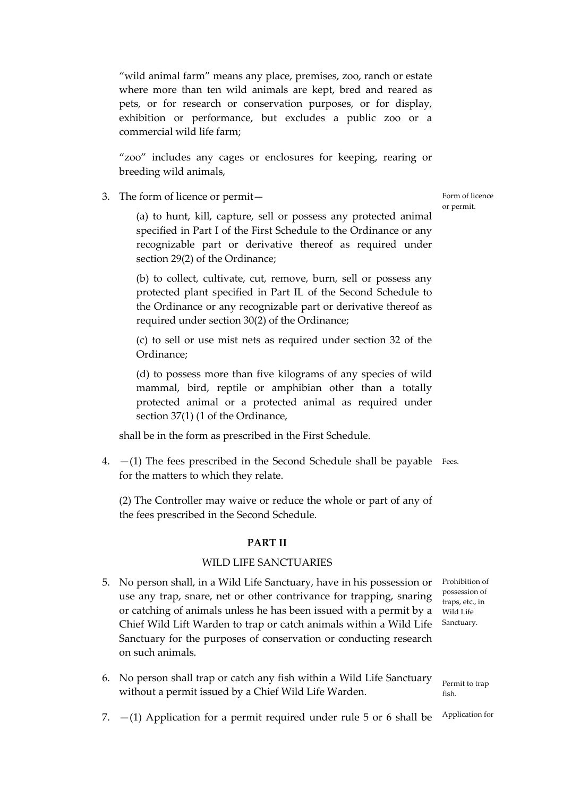"wild animal farm" means any place, premises, zoo, ranch or estate where more than ten wild animals are kept, bred and reared as pets, or for research or conservation purposes, or for display, exhibition or performance, but excludes a public zoo or a commercial wild life farm:

"zoo" includes any cages or enclosures for keeping, rearing or breeding wild animals,

3. The form of licence or permit-

(a) to hunt, kill, capture, sell or possess any protected animal specified in Part I of the First Schedule to the Ordinance or any recognizable part or derivative thereof as required under section 29(2) of the Ordinance;

(b) to collect, cultivate, cut, remove, burn, sell or possess any protected plant specified in Part IL of the Second Schedule to the Ordinance or any recognizable part or derivative thereof as required under section 30(2) of the Ordinance;

(c) to sell or use mist nets as required under section 32 of the Ordinance;

(d) to possess more than five kilograms of any species of wild mammal, bird, reptile or amphibian other than a totally protected animal or a protected animal as required under section 37(1) (1 of the Ordinance,

shall be in the form as prescribed in the First Schedule.

4.  $-(1)$  The fees prescribed in the Second Schedule shall be payable Fees. for the matters to which they relate.

(2) The Controller may waive or reduce the whole or part of any of the fees prescribed in the Second Schedule.

#### **PART II**

#### **WILD LIFE SANCTUARIES**

- 5. No person shall, in a Wild Life Sanctuary, have in his possession or Prohibition of possession of use any trap, snare, net or other contrivance for trapping, snaring traps, etc., in or catching of animals unless he has been issued with a permit by a Wild Life Sanctuary. Chief Wild Lift Warden to trap or catch animals within a Wild Life Sanctuary for the purposes of conservation or conducting research on such animals.
- 6. No person shall trap or catch any fish within a Wild Life Sanctuary without a permit issued by a Chief Wild Life Warden.

Permit to trap fich

Application for 7.  $-(1)$  Application for a permit required under rule 5 or 6 shall be

Form of licence or permit.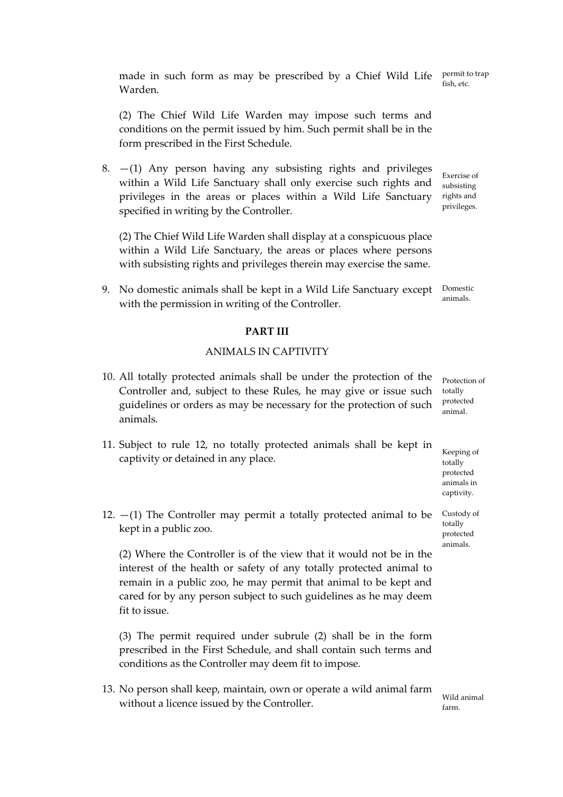made in such form as may be prescribed by a Chief Wild Life Warden.

(2) The Chief Wild Life Warden may impose such terms and conditions on the permit issued by him. Such permit shall be in the form prescribed in the First Schedule.

8.  $-(1)$  Any person having any subsisting rights and privileges Exercise of within a Wild Life Sanctuary shall only exercise such rights and subsisting privileges in the areas or places within a Wild Life Sanctuary rights and privileges. specified in writing by the Controller.

(2) The Chief Wild Life Warden shall display at a conspicuous place within a Wild Life Sanctuary, the areas or places where persons with subsisting rights and privileges therein may exercise the same.

9. No domestic animals shall be kept in a Wild Life Sanctuary except Domestic animals with the permission in writing of the Controller.

## **PART III**

## **ANIMALS IN CAPTIVITY**

- 10. All totally protected animals shall be under the protection of the Controller and, subject to these Rules, he may give or issue such guidelines or orders as may be necessary for the protection of such animals.
- 11. Subject to rule 12, no totally protected animals shall be kept in captivity or detained in any place.
- 12.  $-(1)$  The Controller may permit a totally protected animal to be kept in a public zoo.

(2) Where the Controller is of the view that it would not be in the interest of the health or safety of any totally protected animal to remain in a public zoo, he may permit that animal to be kept and cared for by any person subject to such guidelines as he may deem fit to issue.

(3) The permit required under subrule (2) shall be in the form prescribed in the First Schedule, and shall contain such terms and conditions as the Controller may deem fit to impose.

13. No person shall keep, maintain, own or operate a wild animal farm without a licence issued by the Controller.

Protection of totally protected animal.

Keeping of totally protected animals in captivity.

Custody of totally protected animals

Wild animal

farm

permit to trap fish, etc.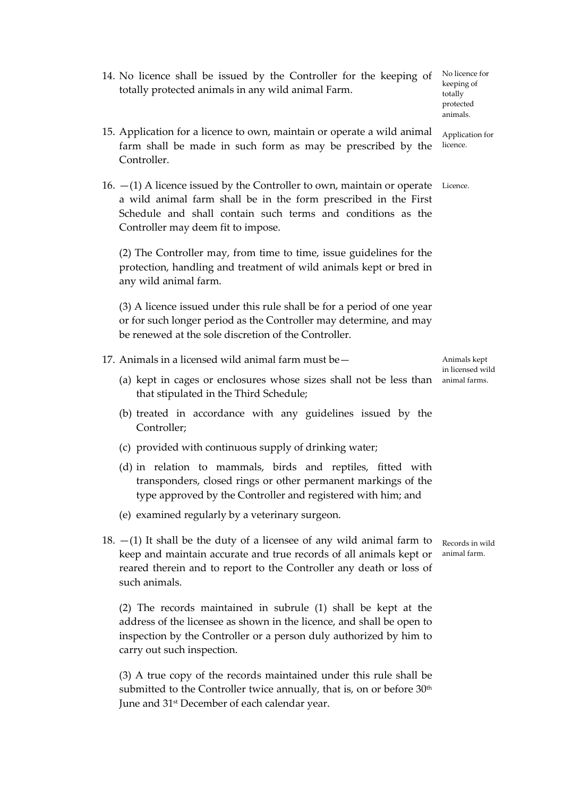14. No licence shall be issued by the Controller for the keeping of totally protected animals in any wild animal Farm.

totally protected animals.

Application for

No licence for

- 15. Application for a licence to own, maintain or operate a wild animal farm shall be made in such form as may be prescribed by the Controller.
- 16.  $-(1)$  A licence issued by the Controller to own, maintain or operate Licence. a wild animal farm shall be in the form prescribed in the First Schedule and shall contain such terms and conditions as the Controller may deem fit to impose.

(2) The Controller may, from time to time, issue guidelines for the protection, handling and treatment of wild animals kept or bred in any wild animal farm.

(3) A licence issued under this rule shall be for a period of one year or for such longer period as the Controller may determine, and may be renewed at the sole discretion of the Controller.

- 17. Animals in a licensed wild animal farm must be -
	- (a) kept in cages or enclosures whose sizes shall not be less than animal farms. that stipulated in the Third Schedule;
	- (b) treated in accordance with any guidelines issued by the Controller;
	- (c) provided with continuous supply of drinking water;
	- (d) in relation to mammals, birds and reptiles, fitted with transponders, closed rings or other permanent markings of the type approved by the Controller and registered with him; and
	- (e) examined regularly by a veterinary surgeon.
- 18.  $-(1)$  It shall be the duty of a licensee of any wild animal farm to keep and maintain accurate and true records of all animals kept or reared therein and to report to the Controller any death or loss of such animals.

(2) The records maintained in subrule (1) shall be kept at the address of the licensee as shown in the licence, and shall be open to inspection by the Controller or a person duly authorized by him to carry out such inspection.

(3) A true copy of the records maintained under this rule shall be submitted to the Controller twice annually, that is, on or before 30<sup>th</sup> June and 31<sup>st</sup> December of each calendar year.

Animals kept in licensed wild

Records in wild animal farm.

keeping of

licence.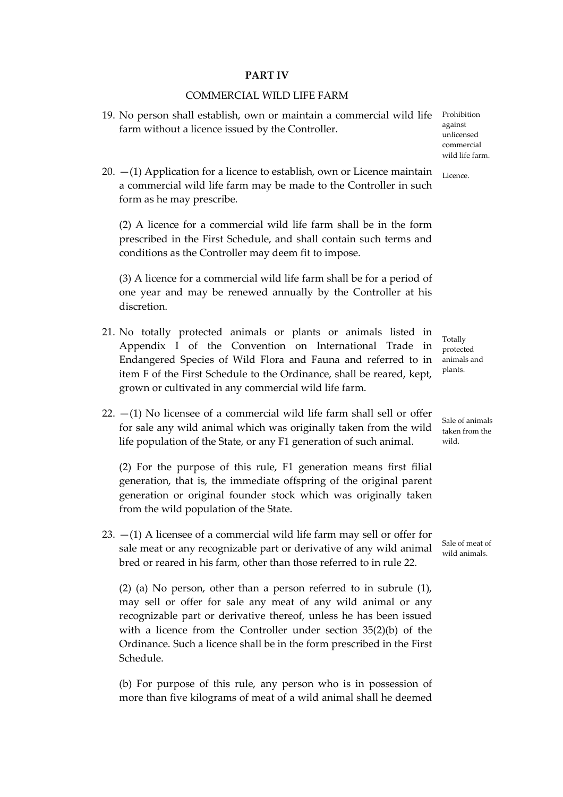#### **PARTIV**

#### COMMERCIAL WILD LIFE FARM

- 19. No person shall establish, own or maintain a commercial wild life Prohibition farm without a licence issued by the Controller.
- 20.  $-(1)$  Application for a licence to establish, own or Licence maintain a commercial wild life farm may be made to the Controller in such form as he may prescribe.

(2) A licence for a commercial wild life farm shall be in the form prescribed in the First Schedule, and shall contain such terms and conditions as the Controller may deem fit to impose.

(3) A licence for a commercial wild life farm shall be for a period of one year and may be renewed annually by the Controller at his discretion.

- 21. No totally protected animals or plants or animals listed in Appendix I of the Convention on International Trade in Endangered Species of Wild Flora and Fauna and referred to in item F of the First Schedule to the Ordinance, shall be reared, kept, grown or cultivated in any commercial wild life farm.
- 22.  $-(1)$  No licensee of a commercial wild life farm shall sell or offer for sale any wild animal which was originally taken from the wild life population of the State, or any F1 generation of such animal.

(2) For the purpose of this rule, F1 generation means first filial generation, that is, the immediate offspring of the original parent generation or original founder stock which was originally taken from the wild population of the State.

23.  $-(1)$  A licensee of a commercial wild life farm may sell or offer for sale meat or any recognizable part or derivative of any wild animal bred or reared in his farm, other than those referred to in rule 22.

 $(2)$  (a) No person, other than a person referred to in subrule  $(1)$ , may sell or offer for sale any meat of any wild animal or any recognizable part or derivative thereof, unless he has been issued with a licence from the Controller under section  $35(2)(b)$  of the Ordinance. Such a licence shall be in the form prescribed in the First Schedule.

(b) For purpose of this rule, any person who is in possession of more than five kilograms of meat of a wild animal shall he deemed

against unlicensed commercial wild life farm

Licence.

Totally protected animals and plants.

Sale of animals taken from the hliw

Sale of meat of wild animals.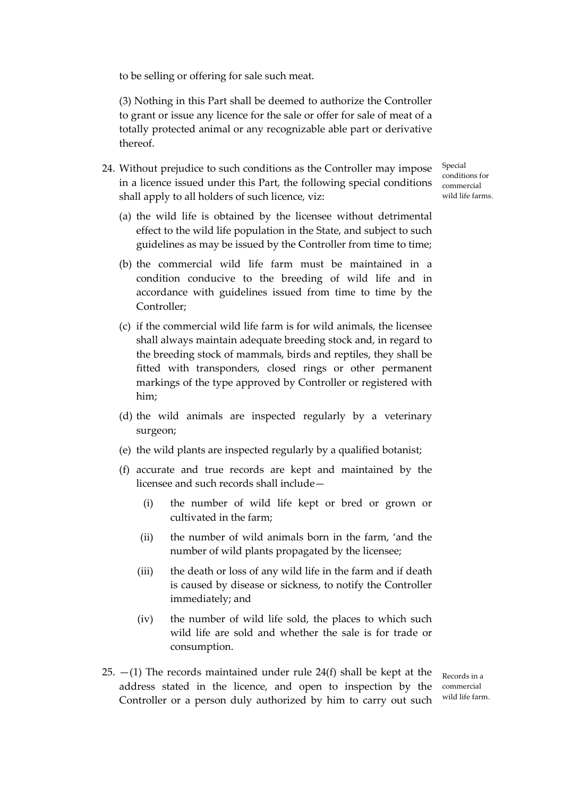to be selling or offering for sale such meat.

(3) Nothing in this Part shall be deemed to authorize the Controller to grant or issue any licence for the sale or offer for sale of meat of a totally protected animal or any recognizable able part or derivative thereof.

24. Without prejudice to such conditions as the Controller may impose in a licence issued under this Part, the following special conditions shall apply to all holders of such licence, viz:

Special conditions for commercial wild life farms

- (a) the wild life is obtained by the licensee without detrimental effect to the wild life population in the State, and subject to such guidelines as may be issued by the Controller from time to time;
- (b) the commercial wild life farm must be maintained in a condition conducive to the breeding of wild life and in accordance with guidelines issued from time to time by the Controller:
- (c) if the commercial wild life farm is for wild animals, the licensee shall always maintain adequate breeding stock and, in regard to the breeding stock of mammals, birds and reptiles, they shall be fitted with transponders, closed rings or other permanent markings of the type approved by Controller or registered with him:
- (d) the wild animals are inspected regularly by a veterinary surgeon;
- (e) the wild plants are inspected regularly by a qualified botanist;
- (f) accurate and true records are kept and maintained by the licensee and such records shall include
	- the number of wild life kept or bred or grown or  $(i)$ cultivated in the farm;
	- the number of wild animals born in the farm, 'and the  $(ii)$ number of wild plants propagated by the licensee;
	- $(iii)$ the death or loss of any wild life in the farm and if death is caused by disease or sickness, to notify the Controller immediately; and
	- $(iv)$ the number of wild life sold, the places to which such wild life are sold and whether the sale is for trade or consumption.
- 25.  $-(1)$  The records maintained under rule 24(f) shall be kept at the address stated in the licence, and open to inspection by the Controller or a person duly authorized by him to carry out such

Records in a commercial wild life farm.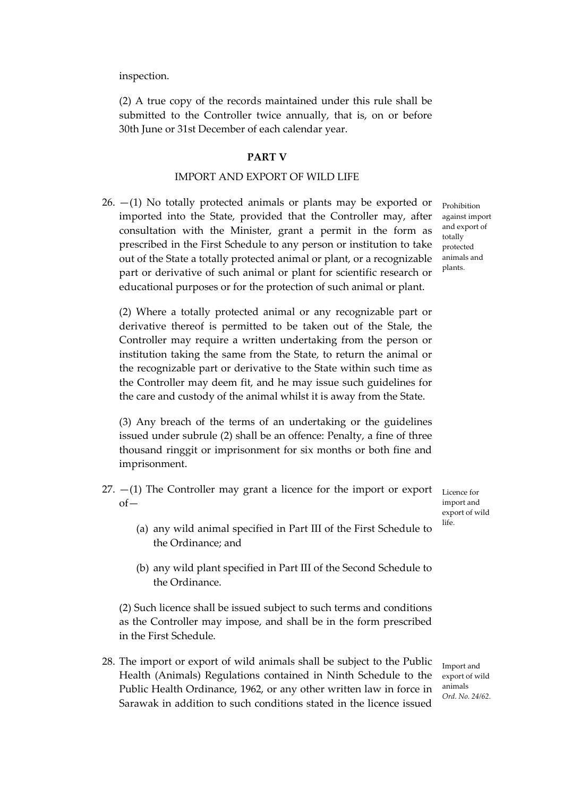inspection.

(2) A true copy of the records maintained under this rule shall be submitted to the Controller twice annually, that is, on or before 30th June or 31st December of each calendar year.

#### **PART V**

#### **IMPORT AND EXPORT OF WILD LIFE**

 $26. - (1)$  No totally protected animals or plants may be exported or imported into the State, provided that the Controller may, after consultation with the Minister, grant a permit in the form as prescribed in the First Schedule to any person or institution to take out of the State a totally protected animal or plant, or a recognizable part or derivative of such animal or plant for scientific research or educational purposes or for the protection of such animal or plant.

Prohibition against import and export of totally protected animals and plants.

(2) Where a totally protected animal or any recognizable part or derivative thereof is permitted to be taken out of the Stale, the Controller may require a written undertaking from the person or institution taking the same from the State, to return the animal or the recognizable part or derivative to the State within such time as the Controller may deem fit, and he may issue such guidelines for the care and custody of the animal whilst it is away from the State.

(3) Any breach of the terms of an undertaking or the guidelines issued under subrule (2) shall be an offence: Penalty, a fine of three thousand ringgit or imprisonment for six months or both fine and imprisonment.

27.  $-(1)$  The Controller may grant a licence for the import or export  $of-$ 

Licence for import and export of wild  $l$ ife

- (a) any wild animal specified in Part III of the First Schedule to the Ordinance; and
- (b) any wild plant specified in Part III of the Second Schedule to the Ordinance.

(2) Such licence shall be issued subject to such terms and conditions as the Controller may impose, and shall be in the form prescribed in the First Schedule.

28. The import or export of wild animals shall be subject to the Public Health (Animals) Regulations contained in Ninth Schedule to the Public Health Ordinance, 1962, or any other written law in force in Sarawak in addition to such conditions stated in the licence issued

Import and export of wild animals Ord. No. 24/62.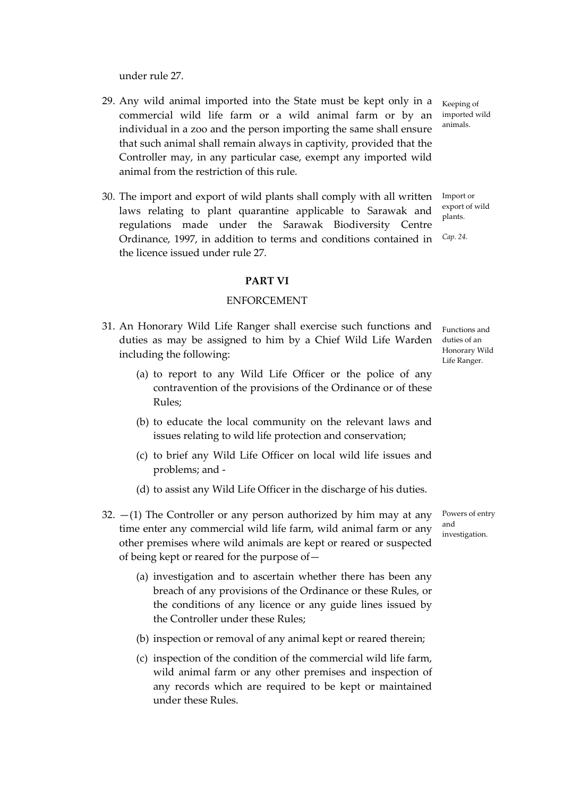under rule 27.

- 29. Any wild animal imported into the State must be kept only in a commercial wild life farm or a wild animal farm or by an individual in a zoo and the person importing the same shall ensure that such animal shall remain always in captivity, provided that the Controller may, in any particular case, exempt any imported wild animal from the restriction of this rule.
- 30. The import and export of wild plants shall comply with all written Import or laws relating to plant quarantine applicable to Sarawak and regulations made under the Sarawak Biodiversity Centre Ordinance, 1997, in addition to terms and conditions contained in the licence issued under rule 27.

#### **PART VI**

#### **ENFORCEMENT**

- 31. An Honorary Wild Life Ranger shall exercise such functions and duties as may be assigned to him by a Chief Wild Life Warden including the following:
	- (a) to report to any Wild Life Officer or the police of any contravention of the provisions of the Ordinance or of these Rules:
	- (b) to educate the local community on the relevant laws and issues relating to wild life protection and conservation;
	- (c) to brief any Wild Life Officer on local wild life issues and problems; and -
	- (d) to assist any Wild Life Officer in the discharge of his duties.
- 32.  $-(1)$  The Controller or any person authorized by him may at any time enter any commercial wild life farm, wild animal farm or any other premises where wild animals are kept or reared or suspected of being kept or reared for the purpose of -
	- (a) investigation and to ascertain whether there has been any breach of any provisions of the Ordinance or these Rules, or the conditions of any licence or any guide lines issued by the Controller under these Rules;
	- (b) inspection or removal of any animal kept or reared therein;
	- (c) inspection of the condition of the commercial wild life farm. wild animal farm or any other premises and inspection of any records which are required to be kept or maintained under these Rules.

Functions and duties of an Honorary Wild Life Ranger.

Keeping of imported wild animals.

export of wild plants.

Cap. 24.

Powers of entry and investigation.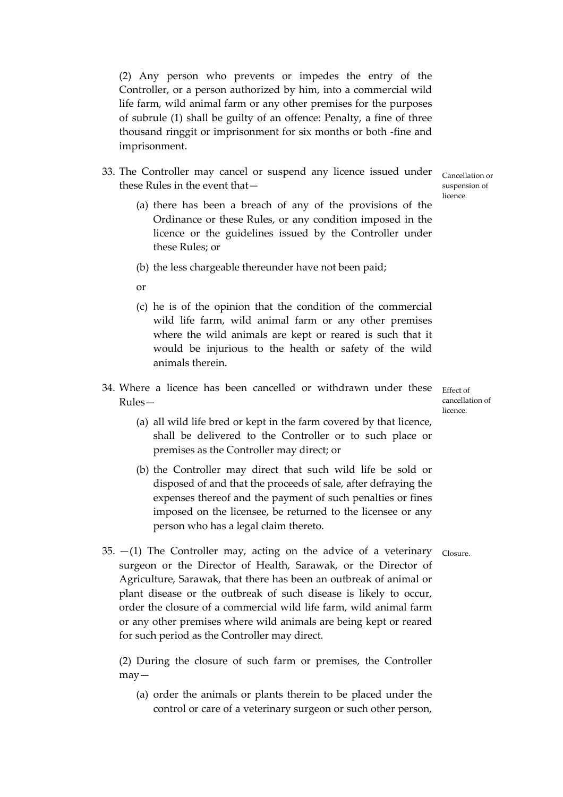(2) Any person who prevents or impedes the entry of the Controller, or a person authorized by him, into a commercial wild life farm, wild animal farm or any other premises for the purposes of subrule (1) shall be guilty of an offence: Penalty, a fine of three thousand ringgit or imprisonment for six months or both -fine and imprisonment.

- 33. The Controller may cancel or suspend any licence issued under these Rules in the event that-
	- (a) there has been a breach of any of the provisions of the Ordinance or these Rules, or any condition imposed in the licence or the guidelines issued by the Controller under these Rules; or
	- (b) the less chargeable thereunder have not been paid;
	- $\alpha$
	- (c) he is of the opinion that the condition of the commercial wild life farm, wild animal farm or any other premises where the wild animals are kept or reared is such that it would be injurious to the health or safety of the wild animals therein
- 34. Where a licence has been cancelled or withdrawn under these Effect of  $Rules -$ 
	- (a) all wild life bred or kept in the farm covered by that licence, shall be delivered to the Controller or to such place or premises as the Controller may direct; or
	- (b) the Controller may direct that such wild life be sold or disposed of and that the proceeds of sale, after defraying the expenses thereof and the payment of such penalties or fines imposed on the licensee, be returned to the licensee or any person who has a legal claim thereto.
- Closure.
- 35.  $-(1)$  The Controller may, acting on the advice of a veterinary surgeon or the Director of Health, Sarawak, or the Director of Agriculture, Sarawak, that there has been an outbreak of animal or plant disease or the outbreak of such disease is likely to occur, order the closure of a commercial wild life farm, wild animal farm or any other premises where wild animals are being kept or reared for such period as the Controller may direct.

(2) During the closure of such farm or premises, the Controller  $may -$ 

(a) order the animals or plants therein to be placed under the control or care of a veterinary surgeon or such other person,

Cancellation or suspension of licence

cancellation of  $licence$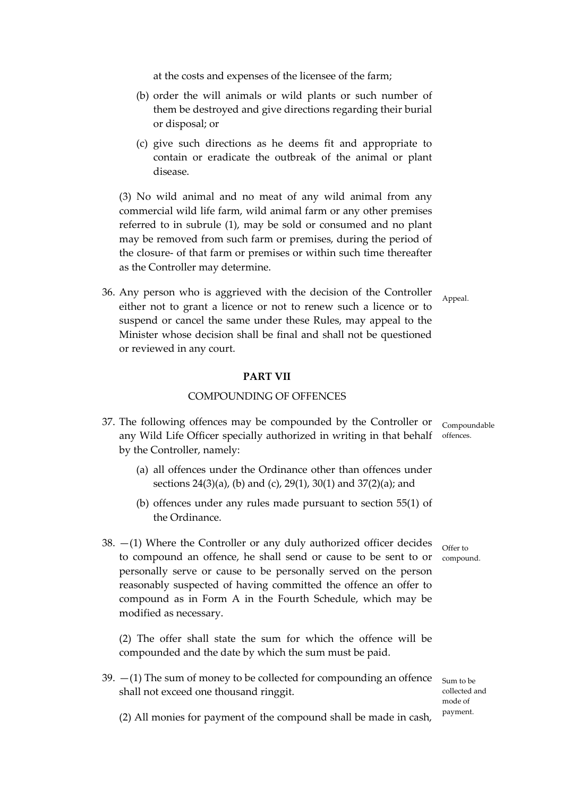at the costs and expenses of the licensee of the farm;

- (b) order the will animals or wild plants or such number of them be destroyed and give directions regarding their burial or disposal; or
- (c) give such directions as he deems fit and appropriate to contain or eradicate the outbreak of the animal or plant disease.

(3) No wild animal and no meat of any wild animal from any commercial wild life farm, wild animal farm or any other premises referred to in subrule (1), may be sold or consumed and no plant may be removed from such farm or premises, during the period of the closure- of that farm or premises or within such time thereafter as the Controller may determine.

36. Any person who is aggrieved with the decision of the Controller either not to grant a licence or not to renew such a licence or to suspend or cancel the same under these Rules, may appeal to the Minister whose decision shall be final and shall not be questioned or reviewed in any court.

#### **PART VII**

#### COMPOUNDING OF OFFENCES

- 37. The following offences may be compounded by the Controller or Compoundable any Wild Life Officer specially authorized in writing in that behalf offences. by the Controller, namely:
	- (a) all offences under the Ordinance other than offences under sections 24(3)(a), (b) and (c), 29(1), 30(1) and 37(2)(a); and
	- (b) offences under any rules made pursuant to section  $55(1)$  of the Ordinance.
- 38.  $-(1)$  Where the Controller or any duly authorized officer decides to compound an offence, he shall send or cause to be sent to or personally serve or cause to be personally served on the person reasonably suspected of having committed the offence an offer to compound as in Form A in the Fourth Schedule, which may be modified as necessary.

(2) The offer shall state the sum for which the offence will be compounded and the date by which the sum must be paid.

39.  $-(1)$  The sum of money to be collected for compounding an offence shall not exceed one thousand ringgit.

Sum to be collected and mode of payment.

(2) All monies for payment of the compound shall be made in cash,

Appeal.

Offer to compound.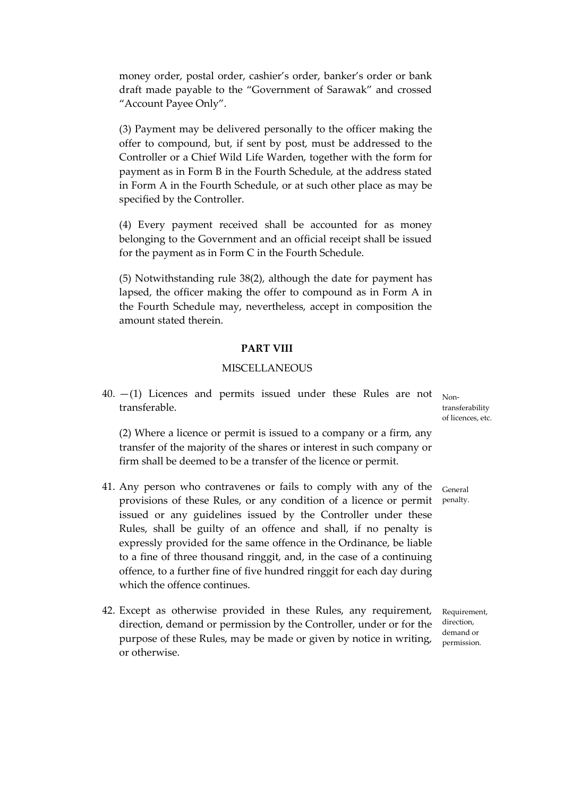money order, postal order, cashier's order, banker's order or bank draft made payable to the "Government of Sarawak" and crossed "Account Payee Only".

(3) Payment may be delivered personally to the officer making the offer to compound, but, if sent by post, must be addressed to the Controller or a Chief Wild Life Warden, together with the form for payment as in Form B in the Fourth Schedule, at the address stated in Form A in the Fourth Schedule, or at such other place as may be specified by the Controller.

(4) Every payment received shall be accounted for as money belonging to the Government and an official receipt shall be issued for the payment as in Form C in the Fourth Schedule.

 $(5)$  Notwithstanding rule 38(2), although the date for payment has lapsed, the officer making the offer to compound as in Form A in the Fourth Schedule may, nevertheless, accept in composition the amount stated therein.

#### **PART VIII**

## **MISCELLANEOUS**

40.  $-(1)$  Licences and permits issued under these Rules are not Nontransferable transferability

(2) Where a licence or permit is issued to a company or a firm, any transfer of the majority of the shares or interest in such company or firm shall be deemed to be a transfer of the licence or permit.

- 41. Any person who contravenes or fails to comply with any of the provisions of these Rules, or any condition of a licence or permit issued or any guidelines issued by the Controller under these Rules, shall be guilty of an offence and shall, if no penalty is expressly provided for the same offence in the Ordinance, be liable to a fine of three thousand ringgit, and, in the case of a continuing offence, to a further fine of five hundred ringgit for each day during which the offence continues.
- 42. Except as otherwise provided in these Rules, any requirement, direction, demand or permission by the Controller, under or for the purpose of these Rules, may be made or given by notice in writing, or otherwise.

of licences, etc.

General penalty.

Requirement, direction. demand or permission.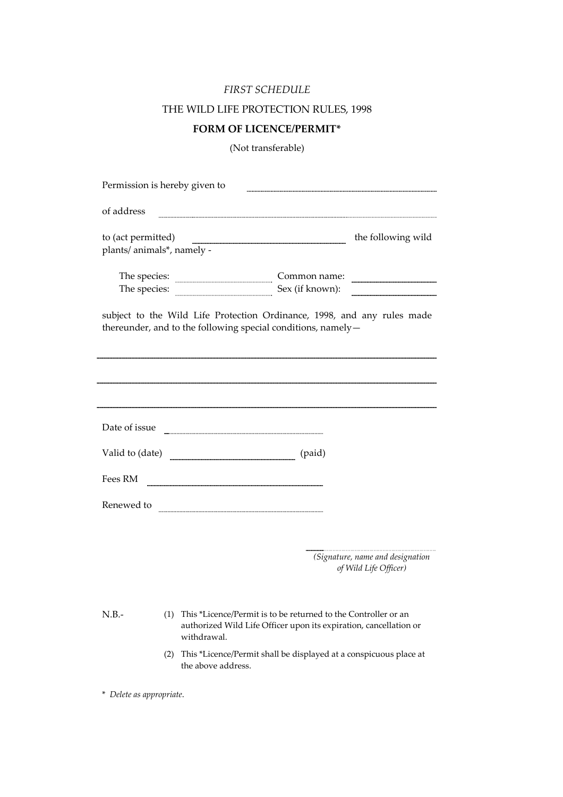## FIRST SCHEDULE

## THE WILD LIFE PROTECTION RULES, 1998

## **FORM OF LICENCE/PERMIT\***

(Not transferable)

| Permission is hereby given to                    |     |                                                                                                                                                                                                                                                                                            |
|--------------------------------------------------|-----|--------------------------------------------------------------------------------------------------------------------------------------------------------------------------------------------------------------------------------------------------------------------------------------------|
| of address                                       |     |                                                                                                                                                                                                                                                                                            |
| to (act permitted)<br>plants/ animals*, namely - |     | the following wild                                                                                                                                                                                                                                                                         |
|                                                  |     | The species: <b>with the species</b> of the species of the species of the species of the species of the species of the species of the species of the species of the species of the species of the species of the species of the spe<br>Common name:<br>The species: <u>Sex</u> (if known): |
|                                                  |     | subject to the Wild Life Protection Ordinance, 1998, and any rules made<br>thereunder, and to the following special conditions, namely-                                                                                                                                                    |
| Date of issue                                    |     |                                                                                                                                                                                                                                                                                            |
|                                                  |     |                                                                                                                                                                                                                                                                                            |
| Fees RM                                          |     | Valid to (date)<br>(paid)                                                                                                                                                                                                                                                                  |
| Renewed to                                       |     |                                                                                                                                                                                                                                                                                            |
|                                                  |     | (Signature, name and designation<br>of Wild Life Officer)                                                                                                                                                                                                                                  |
| $N.B. -$                                         | (1) | This *Licence/Permit is to be returned to the Controller or an<br>authorized Wild Life Officer upon its expiration, cancellation or<br>withdrawal.                                                                                                                                         |
|                                                  | (2) | This *Licence/Permit shall be displayed at a conspicuous place at<br>the above address.                                                                                                                                                                                                    |

\* Delete as appropriate.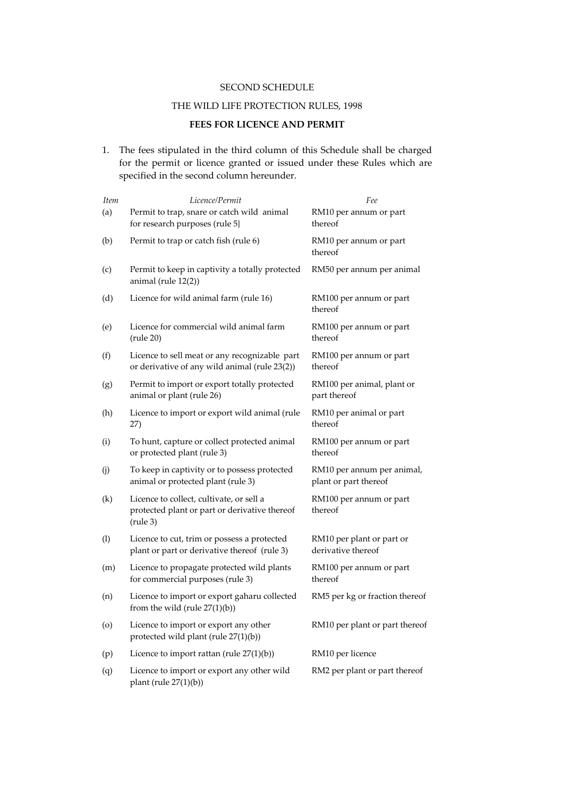#### SECOND SCHEDULE

## THE WILD LIFE PROTECTION RULES, 1998

## FEES FOR LICENCE AND PERMIT

1. The fees stipulated in the third column of this Schedule shall be charged for the permit or licence granted or issued under these Rules which are specified in the second column hereunder.

| Item | Licence/Permit                                                                                                  | Fee                                                 |
|------|-----------------------------------------------------------------------------------------------------------------|-----------------------------------------------------|
| (a)  | Permit to trap, snare or catch wild animal<br>for research purposes (rule 5}                                    | RM10 per annum or part<br>thereof                   |
| (b)  | Permit to trap or catch fish (rule 6)                                                                           | RM10 per annum or part<br>thereof                   |
| (c)  | Permit to keep in captivity a totally protected<br>animal (rule $12(2)$ )                                       | RM50 per annum per animal                           |
| (d)  | Licence for wild animal farm (rule 16)                                                                          | RM100 per annum or part<br>thereof                  |
| (e)  | Licence for commercial wild animal farm<br>$(\text{rule } 20)$                                                  | RM100 per annum or part<br>thereof                  |
| (f)  | Licence to sell meat or any recognizable part<br>or derivative of any wild animal (rule 23(2))                  | RM100 per annum or part<br>thereof                  |
| (g)  | Permit to import or export totally protected<br>animal or plant (rule 26)                                       | RM100 per animal, plant or<br>part thereof          |
| (h)  | Licence to import or export wild animal (rule<br>27)                                                            | RM10 per animal or part<br>thereof                  |
| (i)  | To hunt, capture or collect protected animal<br>or protected plant (rule 3)                                     | RM100 per annum or part<br>thereof                  |
| (j)  | To keep in captivity or to possess protected<br>animal or protected plant (rule 3)                              | RM10 per annum per animal,<br>plant or part thereof |
| (k)  | Licence to collect, cultivate, or sell a<br>protected plant or part or derivative thereof<br>$(\text{rule } 3)$ | RM100 per annum or part<br>thereof                  |
| (1)  | Licence to cut, trim or possess a protected<br>plant or part or derivative thereof (rule 3)                     | RM10 per plant or part or<br>derivative thereof     |
| (m)  | Licence to propagate protected wild plants<br>for commercial purposes (rule 3)                                  | RM100 per annum or part<br>thereof                  |
| (n)  | Licence to import or export gaharu collected<br>from the wild (rule $27(1)(b)$ )                                | RM5 per kg or fraction thereof                      |
| (0)  | Licence to import or export any other<br>protected wild plant (rule 27(1)(b))                                   | RM10 per plant or part thereof                      |
| (p)  | Licence to import rattan (rule $27(1)(b)$ )                                                                     | RM10 per licence                                    |
| (q)  | Licence to import or export any other wild<br>plant (rule $27(1)(b)$ )                                          | RM2 per plant or part thereof                       |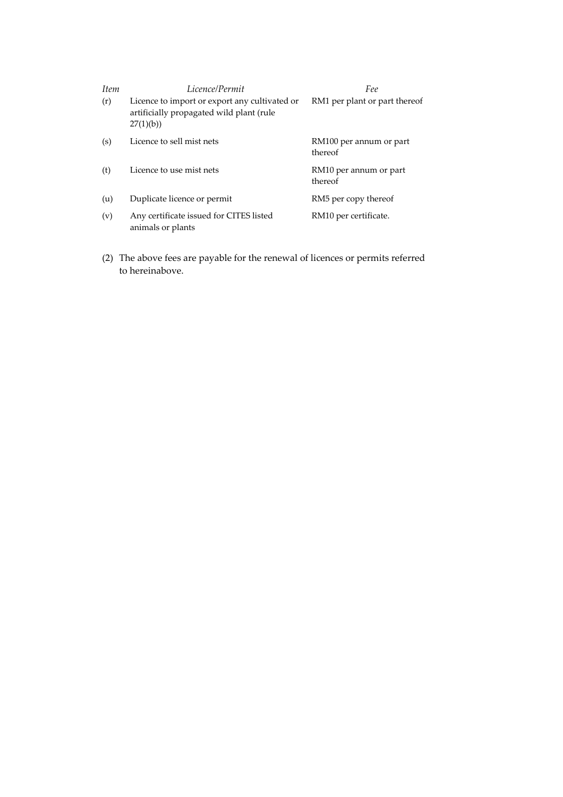| <i>Item</i> | Licence/Permit                                                                                        | Fee                                |
|-------------|-------------------------------------------------------------------------------------------------------|------------------------------------|
| (r)         | Licence to import or export any cultivated or<br>artificially propagated wild plant (rule<br>27(1)(b) | RM1 per plant or part thereof      |
| (s)         | Licence to sell mist nets                                                                             | RM100 per annum or part<br>thereof |
| (t)         | Licence to use mist nets                                                                              | RM10 per annum or part<br>thereof  |
| (u)         | Duplicate licence or permit                                                                           | RM5 per copy thereof               |
| (v)         | Any certificate issued for CITES listed<br>animals or plants                                          | RM10 per certificate.              |

(2) The above fees are payable for the renewal of licences or permits referred to hereinabove.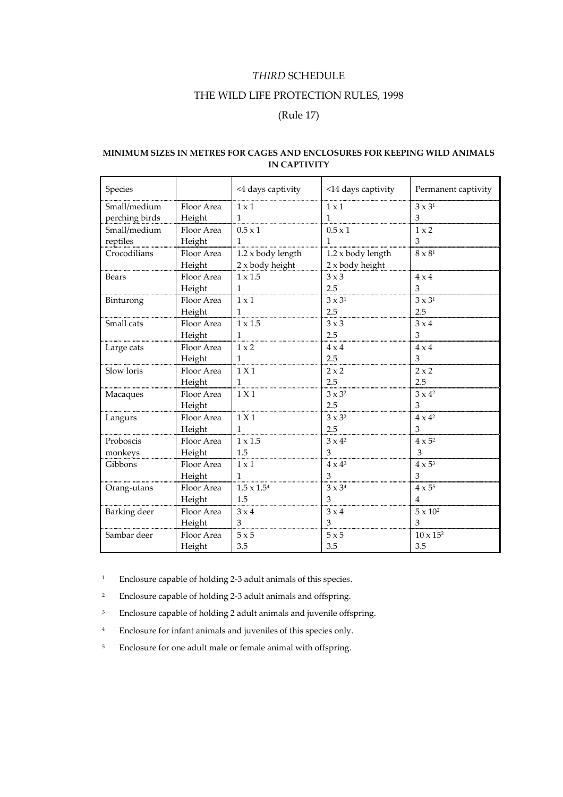## THIRD SCHEDULE

## THE WILD LIFE PROTECTION RULES, 1998

## (Rule 17)

### MINIMUM SIZES IN METRES FOR CAGES AND ENCLOSURES FOR KEEPING WILD ANIMALS **IN CAPTIVITY**

| Species        |            | <4 days captivity    | <14 days captivity | Permanent captivity               |
|----------------|------------|----------------------|--------------------|-----------------------------------|
| Small/medium   | Floor Area | $1 \times 1$         | $1 \times 1$       | $3 \times 31$                     |
| perching birds | Height     | $\mathbf{1}$         | $\mathbf{1}$       | 3                                 |
| Small/medium   | Floor Area | $0.5 \times 1$       | $0.5 \times 1$     | $1 \times 2$                      |
| reptiles       | Height     | $\mathbf{1}$         |                    | 3                                 |
| Crocodilians   | Floor Area | 1.2 x body length    | 1.2 x body length  | $8\times8^{\scriptscriptstyle 1}$ |
|                | Height     | 2 x body height      | 2 x body height    |                                   |
| Bears          | Floor Area | $1 \times 1.5$       | $3 \times 3$       | $4 \times 4$                      |
|                | Height     | $\mathbf{1}$         | 2.5                | 3                                 |
| Binturong      | Floor Area | $1 \times 1$         | $3 \times 3^1$     | $3 \times 3^1$                    |
|                | Height     | $\mathbf{1}$         | 2.5                | 2.5                               |
| Small cats     | Floor Area | $1 \times 1.5$       | $3 \times 3$       | $3 \times 4$                      |
|                | Height     | $\mathbf{1}$         | 2.5                | 3                                 |
| Large cats     | Floor Area | $1 \times 2$         | $4 \times 4$       | $4 \times 4$                      |
|                | Height     | $\mathbf{1}$         | 2.5                | 3                                 |
| Slow loris     | Floor Area | 1 X 1                | $2 \times 2$       | $2 \times 2$                      |
|                | Height     | $\mathbf{1}$         | 2.5                | 2.5                               |
| Macaques       | Floor Area | 1 X1                 | $3 \times 3^2$     | $3 \times 4^2$                    |
|                | Height     |                      | 2.5                | 3                                 |
| Langurs        | Floor Area | 1 X 1                | $3 \times 3^2$     | $4 \times 4^2$                    |
|                | Height     | $\mathbf{1}$         | 2.5                | 3                                 |
| Proboscis      | Floor Area | $1 \times 1.5$       | $3 \times 4^2$     | $4 \times 5^2$                    |
| monkeys        | Height     | 1.5                  | 3                  | 3                                 |
| Gibbons        | Floor Area | $1 \times 1$         | $4 \times 4^3$     | $4 \times 5^3$                    |
|                | Height     | 1                    | 3                  | 3                                 |
| Orang-utans    | Floor Area | $1.5 \times 1.5^{4}$ | $3 \times 3^4$     | $4 \times 5^5$                    |
|                | Height     | 1.5                  | 3                  | $\overline{4}$                    |
| Barking deer   | Floor Area | $3 \times 4$         | $3 \times 4$       | $5 \times 10^2$                   |
|                | Height     | 3                    | 3                  | 3                                 |
| Sambar deer    | Floor Area | 5x5                  | 5x5                | $10 \times 15^2$                  |
|                | Height     | 3.5                  | 3.5                | 3.5                               |

 $\bar{1}$ Enclosure capable of holding 2-3 adult animals of this species.

- $\,$  2  $\,$ Enclosure capable of holding 2-3 adult animals and offspring.
- $\sqrt{3}$ Enclosure capable of holding 2 adult animals and juvenile offspring.
- $\,$  4  $\,$ Enclosure for infant animals and juveniles of this species only.
- Enclosure for one adult male or female animal with offspring.  $\sqrt{5}$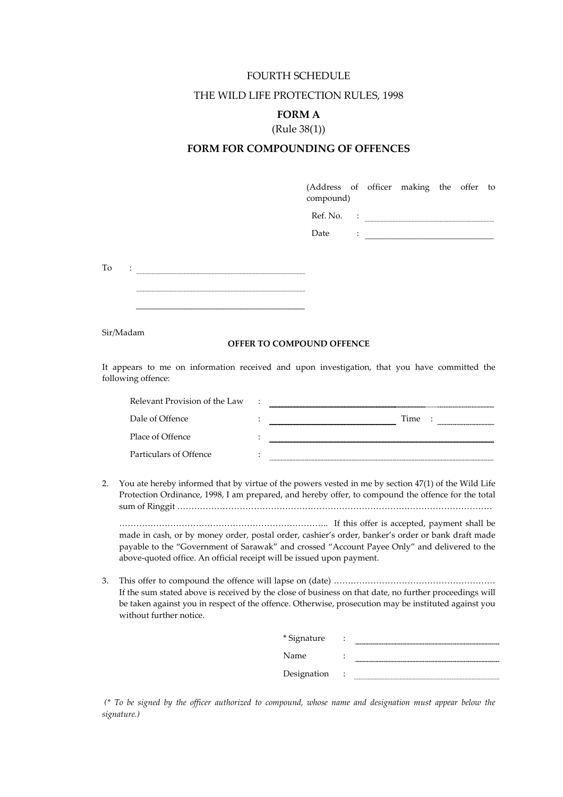#### FOURTH SCHEDULE

## THE WILD LIFE PROTECTION RULES, 1998

## **FORM A**

## $(Rule 38(1))$

## FORM FOR COMPOUNDING OF OFFENCES

(Address of officer making the offer to compound)

| Ref   |  |
|-------|--|
| Date: |  |

 $\begin{tabular}{ll} To & \texttt{::} & \texttt{...} & \texttt{...} \\ \hline \end{tabular}$ 

#### OFFER TO COMPOUND OFFENCE

It appears to me on information received and upon investigation, that you have committed the following offence:

|    | Relevant Provision of the Law                                         |                                                                                                                                                                                                                                                                                                                                                                                                                |
|----|-----------------------------------------------------------------------|----------------------------------------------------------------------------------------------------------------------------------------------------------------------------------------------------------------------------------------------------------------------------------------------------------------------------------------------------------------------------------------------------------------|
|    | Dale of Offence                                                       | Time :                                                                                                                                                                                                                                                                                                                                                                                                         |
|    | Place of Offence                                                      |                                                                                                                                                                                                                                                                                                                                                                                                                |
|    | Particulars of Offence                                                |                                                                                                                                                                                                                                                                                                                                                                                                                |
| 2. | above-quoted office. An official receipt will be issued upon payment. | You ate hereby informed that by virtue of the powers vested in me by section 47(1) of the Wild Life<br>Protection Ordinance, 1998, I am prepared, and hereby offer, to compound the offence for the total<br>made in cash, or by money order, postal order, cashier's order, banker's order or bank draft made<br>payable to the "Government of Sarawak" and crossed "Account Payee Only" and delivered to the |
| 3. | without further notice.                                               | If the sum stated above is received by the close of business on that date, no further proceedings will<br>be taken against you in respect of the offence. Otherwise, prosecution may be instituted against you                                                                                                                                                                                                 |
|    |                                                                       | * Signature                                                                                                                                                                                                                                                                                                                                                                                                    |
|    |                                                                       | Name                                                                                                                                                                                                                                                                                                                                                                                                           |
|    |                                                                       | Designation                                                                                                                                                                                                                                                                                                                                                                                                    |

(\* To be signed by the officer authorized to compound, whose name and designation must appear below the signature.)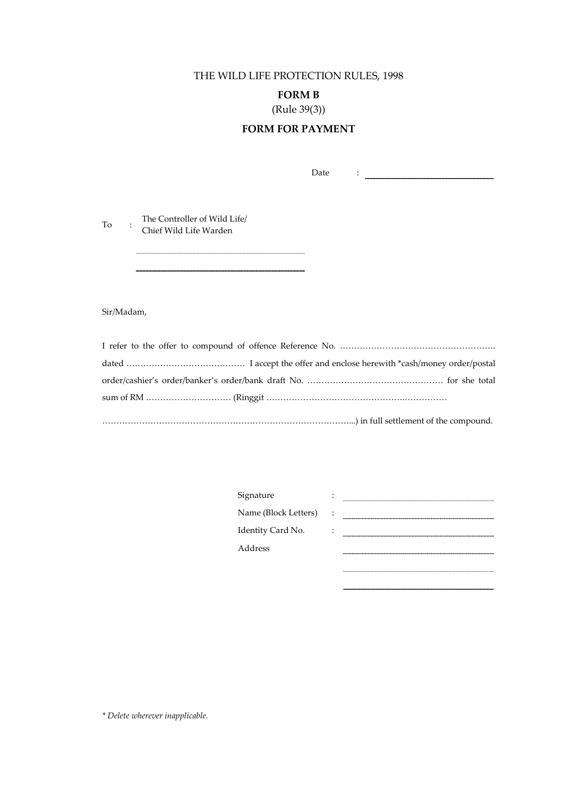THE WILD LIFE PROTECTION RULES, 1998

**FORM B** 

 $(Rule 39(3))$ 

## **FORM FOR PAYMENT**

Date  $\ddot{\phantom{a}}$  :  $\dddot{\phantom{a}}$  ,  $\dddot{\phantom{a}}$  ,  $\dddot{\phantom{a}}$  ,  $\dddot{\phantom{a}}$  ,  $\dddot{\phantom{a}}$  ,  $\dddot{\phantom{a}}$  ,  $\dddot{\phantom{a}}$  ,  $\dddot{\phantom{a}}$  ,  $\dddot{\phantom{a}}$  ,  $\dddot{\phantom{a}}$  ,  $\dddot{\phantom{a}}$  ,  $\dddot{\phantom{a}}$  ,  $\dddot{\phantom{a}}$  ,  $\dddot{\phantom{a}}$  ,  $\dddot{\phantom{a}}$ 

To : The Controller of Wild Life/<br>Chief Wild Life Warden

Sir/Madam,

| Signature            |  |
|----------------------|--|
| Name (Block Letters) |  |
| Identity Card No.    |  |
| Address              |  |
|                      |  |

\* Delete wherever inapplicable.